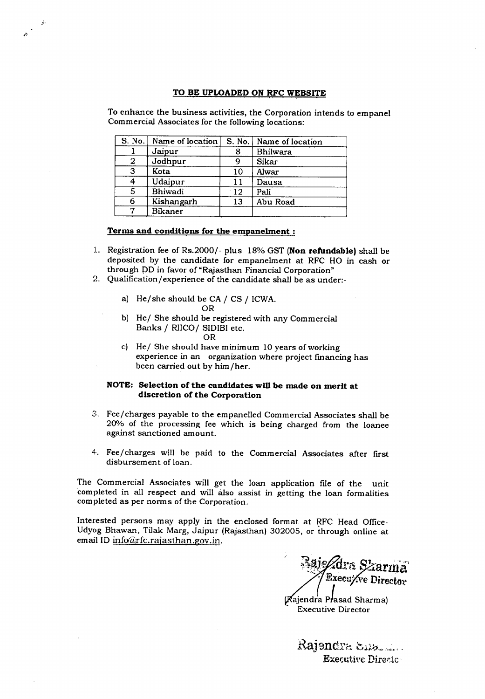#### TO BE UPLOADED ON RFC WEBSITE

To enhance the business activities, the Corporation intends to empanel Commercial Associates for the following locations:

| S. No. | Name of location | S. No. | Name of location |
|--------|------------------|--------|------------------|
|        | Jaipur           | 8      | Bhilwara         |
| 2      | Jodhpur          | 9      | Sikar            |
| 3      | Kota             | 10     | Alwar            |
|        | Udaipur          | 11     | Dausa            |
| 5      | Bhiwadi          | 12     | Pali             |
| 6      | Kishangarh       | 13     | Abu Road         |
| ⇁      | <b>Bikaner</b>   |        |                  |

#### Terms and conditions for the empanelment:

.•...

- 1. Registration fee of Rs.2000/- plus 18% GST (Non refundable) shall be deposited by the candidate for empanelment at RFC HO in cash or through DD in favor of "Rajasthan Financial Corporation"
- 2. Qualification/experience of the candidate shall be as under:
	- a) He/she should be CA/ CS / ICWA. OR
	- b) He/ She should be registered with any Commercial Banks / RIICO/ SIDIBI etc. OR
	- c) He/ She should have minimum 10 years of working experience in an organization where project fmancing has been carried out by him/her.

### NOTE: Selection of the candidates will be made on merit at discretion of the Corporation

- 3. Fee/charges payable to the empanelled Commercial Associates shall be 20% of the processing fee which is being charged from the loanee against sanctioned amount.
- 4. Fee/charges will be paid to the Commercial Associates after first disbursement of loan.

The Commercial Associates will get the loan application file of the unit completed in all respect and will also assist in getting the loan formalities completed as per norms of the Corporation.

Interested persons may apply in the enclosed format at RFC Head Office-Udyog Bhawan, Tilak Marg, Jaipur (Rajasthan) 302005, or through online at email ID info@rfc.rajasthan.gov.in.

'1l:lo .;:l\ \_. .ar *Sza*r Execu/ve Director

(Rajendra Prasad Sharma) Executive Director

 $\emph{Rajendra}\ \emph{Sals}$ Executive Directo: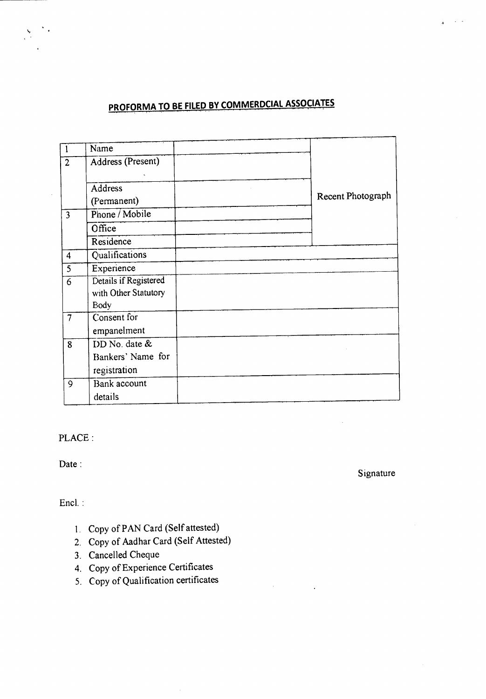## **PROFORMA TO BE FILED BY COMMERDCIAL ASSOCIATES** , ; .

| Name                  |                            |                   |
|-----------------------|----------------------------|-------------------|
| Address (Present)     |                            |                   |
|                       |                            |                   |
| <b>Address</b>        |                            |                   |
|                       |                            | Recent Photograph |
| Phone / Mobile        |                            |                   |
| Office                |                            |                   |
| Residence             |                            |                   |
| <b>Qualifications</b> |                            |                   |
| Experience            |                            |                   |
| Details if Registered |                            |                   |
| with Other Statutory  |                            |                   |
| Eody                  |                            |                   |
|                       |                            |                   |
| empanelment           |                            |                   |
| DD No. date &         |                            |                   |
| Bankers' Name for     |                            |                   |
| registration          |                            |                   |
| Bank account          |                            |                   |
| details               |                            |                   |
|                       | (Fermanent)<br>Consent for |                   |

PLACE:

Date:

Signature

Encl. :

- 1. Copy of PAN Card (Self attested)
- 2. Copy of Aadhar Card (Self Attested)
- 3. Cancelled Cheque
- 4. Copy of Experience Certificates
- 5. Copy of Qualification certificates